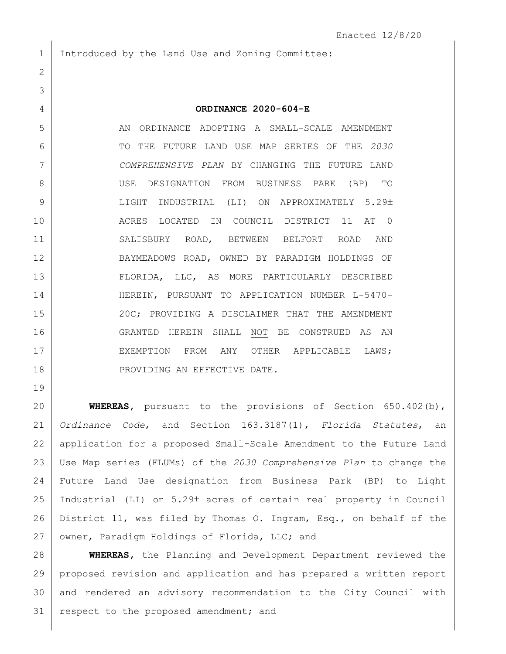Introduced by the Land Use and Zoning Committee:

## **ORDINANCE 2020-604-E**

 AN ORDINANCE ADOPTING A SMALL-SCALE AMENDMENT TO THE FUTURE LAND USE MAP SERIES OF THE *2030 COMPREHENSIVE PLAN* BY CHANGING THE FUTURE LAND USE DESIGNATION FROM BUSINESS PARK (BP) TO 9 LIGHT INDUSTRIAL (LI) ON APPROXIMATELY 5.29± ACRES LOCATED IN COUNCIL DISTRICT 11 AT 0 SALISBURY ROAD, BETWEEN BELFORT ROAD AND BAYMEADOWS ROAD, OWNED BY PARADIGM HOLDINGS OF 13 | FLORIDA, LLC, AS MORE PARTICULARLY DESCRIBED 14 | HEREIN, PURSUANT TO APPLICATION NUMBER L-5470-15 20C; PROVIDING A DISCLAIMER THAT THE AMENDMENT GRANTED HEREIN SHALL NOT BE CONSTRUED AS AN 17 EXEMPTION FROM ANY OTHER APPLICABLE LAWS; 18 PROVIDING AN EFFECTIVE DATE.

 **WHEREAS,** pursuant to the provisions of Section 650.402(b), *Ordinance Code*, and Section 163.3187(1), *Florida Statutes*, an application for a proposed Small-Scale Amendment to the Future Land Use Map series (FLUMs) of the *2030 Comprehensive Plan* to change the Future Land Use designation from Business Park (BP) to Light 25 | Industrial (LI) on 5.29± acres of certain real property in Council District 11, was filed by Thomas O. Ingram, Esq., on behalf of the 27 | owner, Paradigm Holdings of Florida, LLC; and

 **WHEREAS,** the Planning and Development Department reviewed the proposed revision and application and has prepared a written report and rendered an advisory recommendation to the City Council with 31 respect to the proposed amendment; and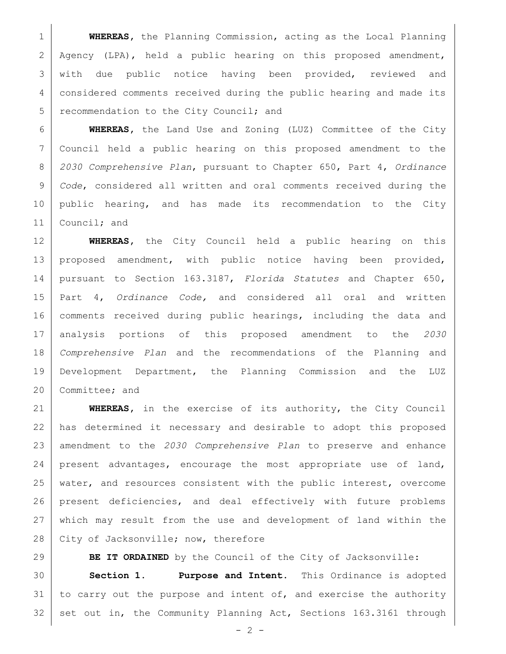**WHEREAS,** the Planning Commission, acting as the Local Planning 2 Agency (LPA), held a public hearing on this proposed amendment, 3 | with due public notice having been provided, reviewed and considered comments received during the public hearing and made its 5 recommendation to the City Council; and

 **WHEREAS,** the Land Use and Zoning (LUZ) Committee of the City Council held a public hearing on this proposed amendment to the *2030 Comprehensive Plan*, pursuant to Chapter 650, Part 4, *Ordinance Code*, considered all written and oral comments received during the 10 public hearing, and has made its recommendation to the City Council; and

 **WHEREAS,** the City Council held a public hearing on this 13 proposed amendment, with public notice having been provided, pursuant to Section 163.3187, *Florida Statutes* and Chapter 650, Part 4, *Ordinance Code,* and considered all oral and written comments received during public hearings, including the data and analysis portions of this proposed amendment to the *2030 Comprehensive Plan* and the recommendations of the Planning and Development Department, the Planning Commission and the LUZ 20 Committee; and

 **WHEREAS,** in the exercise of its authority, the City Council has determined it necessary and desirable to adopt this proposed amendment to the *2030 Comprehensive Plan* to preserve and enhance present advantages, encourage the most appropriate use of land, 25 water, and resources consistent with the public interest, overcome present deficiencies, and deal effectively with future problems which may result from the use and development of land within the 28 City of Jacksonville; now, therefore

**BE IT ORDAINED** by the Council of the City of Jacksonville: **Section 1. Purpose and Intent.** This Ordinance is adopted to carry out the purpose and intent of, and exercise the authority 32 set out in, the Community Planning Act, Sections 163.3161 through

 $- 2 -$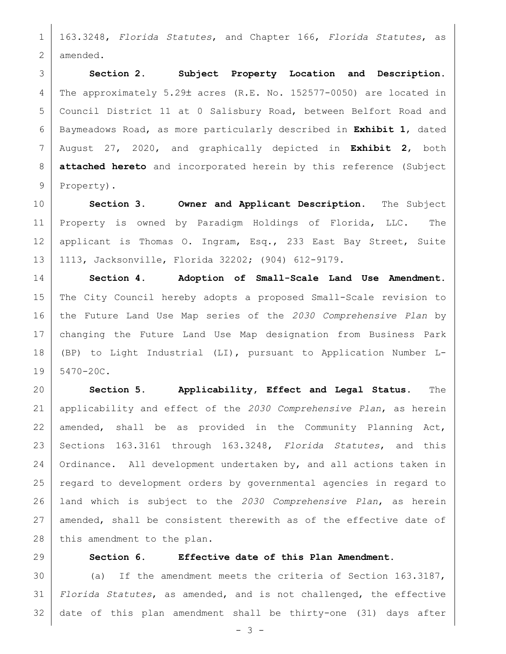163.3248, *Florida Statutes*, and Chapter 166, *Florida Statutes*, as amended.

 **Section 2. Subject Property Location and Description.** 4 The approximately 5.29± acres (R.E. No. 152577-0050) are located in Council District 11 at 0 Salisbury Road, between Belfort Road and Baymeadows Road, as more particularly described in **Exhibit 1**, dated August 27, 2020, and graphically depicted in **Exhibit 2**, both **attached hereto** and incorporated herein by this reference (Subject 9 Property).

 **Section 3. Owner and Applicant Description.** The Subject Property is owned by Paradigm Holdings of Florida, LLC. The 12 | applicant is Thomas O. Ingram, Esq., 233 East Bay Street, Suite 1113, Jacksonville, Florida 32202; (904) 612-9179.

 **Section 4. Adoption of Small-Scale Land Use Amendment.**  The City Council hereby adopts a proposed Small-Scale revision to the Future Land Use Map series of the *2030 Comprehensive Plan* by changing the Future Land Use Map designation from Business Park (BP) to Light Industrial (LI), pursuant to Application Number L- $19 \mid 5470 - 20C$ .

 **Section 5. Applicability, Effect and Legal Status.** The applicability and effect of the *2030 Comprehensive Plan*, as herein 22 amended, shall be as provided in the Community Planning Act, Sections 163.3161 through 163.3248, *Florida Statutes*, and this Ordinance. All development undertaken by, and all actions taken in regard to development orders by governmental agencies in regard to land which is subject to the *2030 Comprehensive Plan*, as herein 27 amended, shall be consistent therewith as of the effective date of 28 this amendment to the plan.

## **Section 6. Effective date of this Plan Amendment.**

 (a) If the amendment meets the criteria of Section 163.3187, *Florida Statutes*, as amended, and is not challenged, the effective date of this plan amendment shall be thirty-one (31) days after

 $- 3 -$